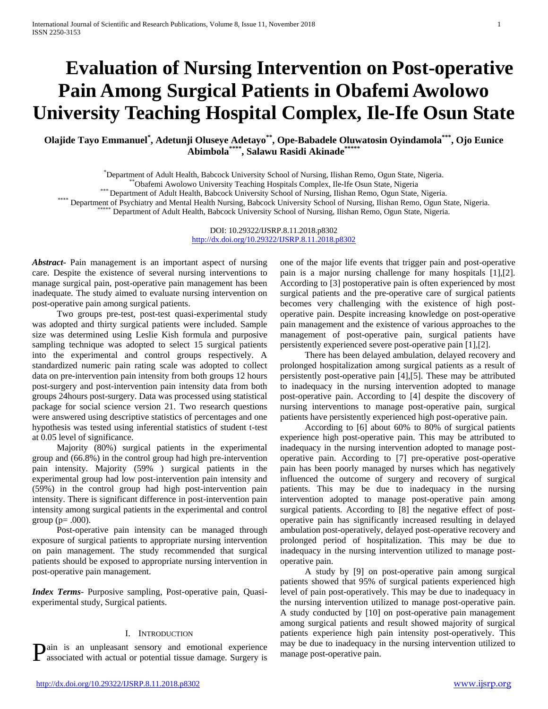# **Evaluation of Nursing Intervention on Post-operative Pain Among Surgical Patients in Obafemi Awolowo University Teaching Hospital Complex, Ile-Ife Osun State**

**Olajide Tayo Emmanuel\* , Adetunji Oluseye Adetayo\*\*, Ope-Babadele Oluwatosin Oyindamola\*\*\*, Ojo Eunice Abimbola\*\*\*\*, Salawu Rasidi Akinade\*\*\*\*\***

\*Department of Adult Health, Babcock University School of Nursing, Ilishan Remo, Ogun State, Nigeria.

""Obafemi Awolowo University Teaching Hospitals Complex, Ile-Ife Osun State, Nigeria<br>""Department of Adult Health, Babcock University School of Nursing, Ilishan Remo, Ogun State, Nigeria.<br>Department of Psychiatry and Menta

DOI: 10.29322/IJSRP.8.11.2018.p8302 <http://dx.doi.org/10.29322/IJSRP.8.11.2018.p8302>

*Abstract***-** Pain management is an important aspect of nursing care. Despite the existence of several nursing interventions to manage surgical pain, post-operative pain management has been inadequate. The study aimed to evaluate nursing intervention on post-operative pain among surgical patients.

 Two groups pre-test, post-test quasi-experimental study was adopted and thirty surgical patients were included. Sample size was determined using Leslie Kish formula and purposive sampling technique was adopted to select 15 surgical patients into the experimental and control groups respectively. A standardized numeric pain rating scale was adopted to collect data on pre-intervention pain intensity from both groups 12 hours post-surgery and post-intervention pain intensity data from both groups 24hours post-surgery. Data was processed using statistical package for social science version 21. Two research questions were answered using descriptive statistics of percentages and one hypothesis was tested using inferential statistics of student t-test at 0.05 level of significance.

 Majority (80%) surgical patients in the experimental group and (66.8%) in the control group had high pre-intervention pain intensity. Majority (59% ) surgical patients in the experimental group had low post-intervention pain intensity and (59%) in the control group had high post-intervention pain intensity. There is significant difference in post-intervention pain intensity among surgical patients in the experimental and control group ( $p = .000$ ).

 Post-operative pain intensity can be managed through exposure of surgical patients to appropriate nursing intervention on pain management. The study recommended that surgical patients should be exposed to appropriate nursing intervention in post-operative pain management.

*Index Terms*- Purposive sampling, Post-operative pain, Quasiexperimental study, Surgical patients.

# I. INTRODUCTION

**Pain** is an unpleasant sensory and emotional experience may be due to inadequacy in the nursing intervention utilized to associated with actual or potential tissue damage. Surgery is manage post-operative pain. associated with actual or potential tissue damage. Surgery is

one of the major life events that trigger pain and post-operative pain is a major nursing challenge for many hospitals [1],[2]. According to [3] postoperative pain is often experienced by most surgical patients and the pre-operative care of surgical patients becomes very challenging with the existence of high postoperative pain. Despite increasing knowledge on post-operative pain management and the existence of various approaches to the management of post-operative pain, surgical patients have persistently experienced severe post-operative pain [1],[2].

 There has been delayed ambulation, delayed recovery and prolonged hospitalization among surgical patients as a result of persistently post-operative pain [4],[5]. These may be attributed to inadequacy in the nursing intervention adopted to manage post-operative pain. According to [4] despite the discovery of nursing interventions to manage post-operative pain, surgical patients have persistently experienced high post-operative pain.

 According to [6] about 60% to 80% of surgical patients experience high post-operative pain. This may be attributed to inadequacy in the nursing intervention adopted to manage postoperative pain. According to [7] pre-operative post-operative pain has been poorly managed by nurses which has negatively influenced the outcome of surgery and recovery of surgical patients. This may be due to inadequacy in the nursing intervention adopted to manage post-operative pain among surgical patients. According to [8] the negative effect of postoperative pain has significantly increased resulting in delayed ambulation post-operatively, delayed post-operative recovery and prolonged period of hospitalization. This may be due to inadequacy in the nursing intervention utilized to manage postoperative pain.

 A study by [9] on post-operative pain among surgical patients showed that 95% of surgical patients experienced high level of pain post-operatively. This may be due to inadequacy in the nursing intervention utilized to manage post-operative pain. A study conducted by [10] on post-operative pain management among surgical patients and result showed majority of surgical patients experience high pain intensity post-operatively. This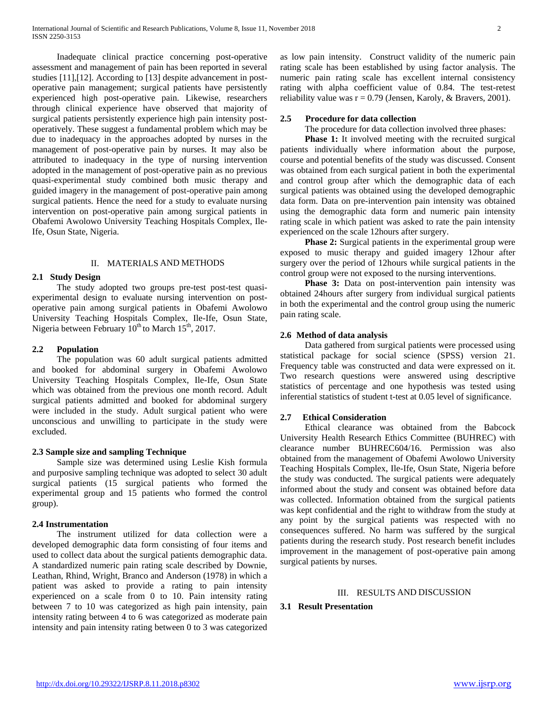Inadequate clinical practice concerning post-operative assessment and management of pain has been reported in several studies [11],[12]. According to [13] despite advancement in postoperative pain management; surgical patients have persistently experienced high post-operative pain. Likewise, researchers through clinical experience have observed that majority of surgical patients persistently experience high pain intensity postoperatively. These suggest a fundamental problem which may be due to inadequacy in the approaches adopted by nurses in the management of post-operative pain by nurses. It may also be attributed to inadequacy in the type of nursing intervention adopted in the management of post-operative pain as no previous quasi-experimental study combined both music therapy and guided imagery in the management of post-operative pain among surgical patients. Hence the need for a study to evaluate nursing intervention on post-operative pain among surgical patients in Obafemi Awolowo University Teaching Hospitals Complex, Ile-Ife, Osun State, Nigeria.

# II. MATERIALS AND METHODS

#### **2.1 Study Design**

 The study adopted two groups pre-test post-test quasiexperimental design to evaluate nursing intervention on postoperative pain among surgical patients in Obafemi Awolowo University Teaching Hospitals Complex, Ile-Ife, Osun State, Nigeria between February  $10^{th}$  to March  $15^{th}$ , 2017.

# **2.2 Population**

 The population was 60 adult surgical patients admitted and booked for abdominal surgery in Obafemi Awolowo University Teaching Hospitals Complex, Ile-Ife, Osun State which was obtained from the previous one month record. Adult surgical patients admitted and booked for abdominal surgery were included in the study. Adult surgical patient who were unconscious and unwilling to participate in the study were excluded.

# **2.3 Sample size and sampling Technique**

 Sample size was determined using Leslie Kish formula and purposive sampling technique was adopted to select 30 adult surgical patients (15 surgical patients who formed the experimental group and 15 patients who formed the control group).

#### **2.4 Instrumentation**

 The instrument utilized for data collection were a developed demographic data form consisting of four items and used to collect data about the surgical patients demographic data. A standardized numeric pain rating scale described by Downie, Leathan, Rhind, Wright, Branco and Anderson (1978) in which a patient was asked to provide a rating to pain intensity experienced on a scale from 0 to 10. Pain intensity rating between 7 to 10 was categorized as high pain intensity, pain intensity rating between 4 to 6 was categorized as moderate pain intensity and pain intensity rating between 0 to 3 was categorized as low pain intensity. Construct validity of the numeric pain rating scale has been established by using factor analysis. The numeric pain rating scale has excellent internal consistency rating with alpha coefficient value of 0.84. The test-retest reliability value was  $r = 0.79$  (Jensen, Karoly, & Bravers, 2001).

#### **2.5 Procedure for data collection**

The procedure for data collection involved three phases:

**Phase 1:** It involved meeting with the recruited surgical patients individually where information about the purpose, course and potential benefits of the study was discussed. Consent was obtained from each surgical patient in both the experimental and control group after which the demographic data of each surgical patients was obtained using the developed demographic data form. Data on pre-intervention pain intensity was obtained using the demographic data form and numeric pain intensity rating scale in which patient was asked to rate the pain intensity experienced on the scale 12hours after surgery.

**Phase 2:** Surgical patients in the experimental group were exposed to music therapy and guided imagery 12hour after surgery over the period of 12hours while surgical patients in the control group were not exposed to the nursing interventions.

 **Phase 3:** Data on post-intervention pain intensity was obtained 24hours after surgery from individual surgical patients in both the experimental and the control group using the numeric pain rating scale.

# **2.6 Method of data analysis**

 Data gathered from surgical patients were processed using statistical package for social science (SPSS) version 21. Frequency table was constructed and data were expressed on it. Two research questions were answered using descriptive statistics of percentage and one hypothesis was tested using inferential statistics of student t-test at 0.05 level of significance.

#### **2.7 Ethical Consideration**

 Ethical clearance was obtained from the Babcock University Health Research Ethics Committee (BUHREC) with clearance number BUHREC604/16. Permission was also obtained from the management of Obafemi Awolowo University Teaching Hospitals Complex, Ile-Ife, Osun State, Nigeria before the study was conducted. The surgical patients were adequately informed about the study and consent was obtained before data was collected. Information obtained from the surgical patients was kept confidential and the right to withdraw from the study at any point by the surgical patients was respected with no consequences suffered. No harm was suffered by the surgical patients during the research study. Post research benefit includes improvement in the management of post-operative pain among surgical patients by nurses.

#### III. RESULTS AND DISCUSSION

#### **3.1 Result Presentation**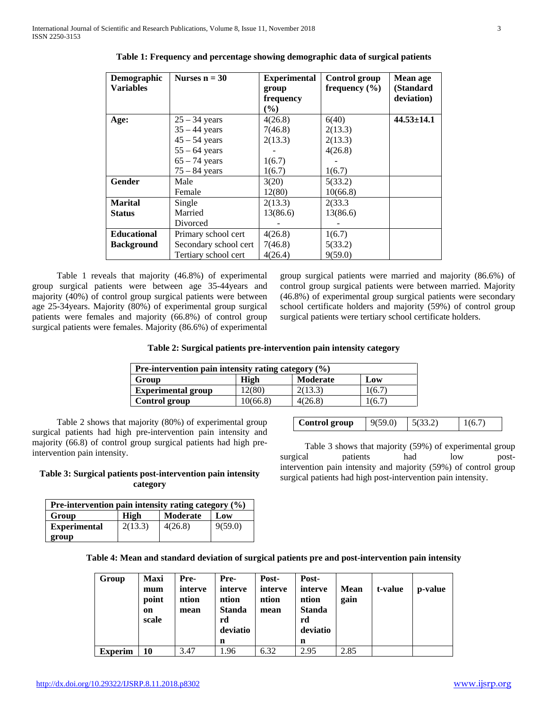| Demographic        | Nurses $n = 30$       | <b>Experimental</b> | Control group     | Mean age         |
|--------------------|-----------------------|---------------------|-------------------|------------------|
| <b>Variables</b>   |                       | group               | frequency $(\% )$ | (Standard        |
|                    |                       | frequency           |                   | deviation)       |
|                    |                       | $\frac{6}{6}$       |                   |                  |
| Age:               | $25 - 34$ years       | 4(26.8)             | 6(40)             | $44.53 \pm 14.1$ |
|                    | $35 - 44$ years       | 7(46.8)             | 2(13.3)           |                  |
|                    | $45 - 54$ years       | 2(13.3)             | 2(13.3)           |                  |
|                    | $55 - 64$ years       |                     | 4(26.8)           |                  |
|                    | $65 - 74$ years       | 1(6.7)              |                   |                  |
|                    | $75 - 84$ years       | 1(6.7)              | 1(6.7)            |                  |
| <b>Gender</b>      | Male                  | 3(20)               | 5(33.2)           |                  |
|                    | Female                | 12(80)              | 10(66.8)          |                  |
| <b>Marital</b>     | Single                | 2(13.3)             | 2(33.3)           |                  |
| <b>Status</b>      | Married               | 13(86.6)            | 13(86.6)          |                  |
|                    | Divorced              |                     |                   |                  |
| <b>Educational</b> | Primary school cert   | 4(26.8)             | 1(6.7)            |                  |
| <b>Background</b>  | Secondary school cert | 7(46.8)             | 5(33.2)           |                  |
|                    | Tertiary school cert  | 4(26.4)             | 9(59.0)           |                  |

**Table 1: Frequency and percentage showing demographic data of surgical patients**

 Table 1 reveals that majority (46.8%) of experimental group surgical patients were between age 35-44years and majority (40%) of control group surgical patients were between age 25-34years. Majority (80%) of experimental group surgical patients were females and majority (66.8%) of control group surgical patients were females. Majority (86.6%) of experimental

group surgical patients were married and majority (86.6%) of control group surgical patients were between married. Majority (46.8%) of experimental group surgical patients were secondary school certificate holders and majority (59%) of control group surgical patients were tertiary school certificate holders.

| Table 2: Surgical patients pre-intervention pain intensity category |  |  |  |
|---------------------------------------------------------------------|--|--|--|
|                                                                     |  |  |  |
|                                                                     |  |  |  |
|                                                                     |  |  |  |

| Pre-intervention pain intensity rating category $(\% )$ |          |         |        |  |  |  |  |
|---------------------------------------------------------|----------|---------|--------|--|--|--|--|
| Group<br>High<br><b>Moderate</b><br>Low                 |          |         |        |  |  |  |  |
| <b>Experimental group</b>                               | (2(80))  | 2(13.3) | 1(6.7) |  |  |  |  |
| Control group                                           | 10(66.8) | 4(26.8) | (6.7)  |  |  |  |  |

 Table 2 shows that majority (80%) of experimental group surgical patients had high pre-intervention pain intensity and majority (66.8) of control group surgical patients had high preintervention pain intensity.

# **Table 3: Surgical patients post-intervention pain intensity category**

| Pre-intervention pain intensity rating category $(\% )$ |         |                 |         |  |  |  |  |
|---------------------------------------------------------|---------|-----------------|---------|--|--|--|--|
| Group                                                   | High    | <b>Moderate</b> | Low     |  |  |  |  |
| <b>Experimental</b>                                     | 2(13.3) | 4(26.8)         | 9(59.0) |  |  |  |  |
| group                                                   |         |                 |         |  |  |  |  |

| Control group | 9(59.0) | 5(33.2) | 1(6.7) |
|---------------|---------|---------|--------|
|---------------|---------|---------|--------|

 Table 3 shows that majority (59%) of experimental group surgical patients had low postintervention pain intensity and majority (59%) of control group surgical patients had high post-intervention pain intensity.

| Table 4: Mean and standard deviation of surgical patients pre and post-intervention pain intensity |  |  |
|----------------------------------------------------------------------------------------------------|--|--|
|                                                                                                    |  |  |

| Group          | <b>Maxi</b><br>mum<br>point<br>on<br>scale | Pre-<br>interve<br>ntion<br>mean | Pre-<br>interve<br>ntion<br><b>Standa</b><br>rd<br>deviatio<br>n | Post-<br>interve<br>ntion<br>mean | Post-<br>interve<br>ntion<br><b>Standa</b><br>rd<br>deviatio<br>n | <b>Mean</b><br>gain | t-value | p-value |
|----------------|--------------------------------------------|----------------------------------|------------------------------------------------------------------|-----------------------------------|-------------------------------------------------------------------|---------------------|---------|---------|
| <b>Experim</b> | 10                                         | 3.47                             | 1.96                                                             | 6.32                              | 2.95                                                              | 2.85                |         |         |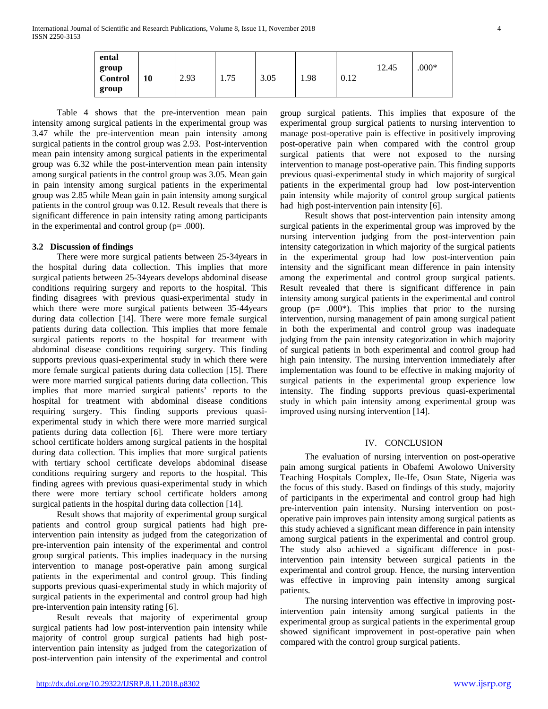| ental          |    |      |      |      |      |      |       |         |
|----------------|----|------|------|------|------|------|-------|---------|
| group          |    |      |      |      |      |      | 12.45 | $.000*$ |
| <b>Control</b> | 10 | 2.93 | 1.75 | 3.05 | 1.98 | 0.12 |       |         |
| group          |    |      |      |      |      |      |       |         |

 Table 4 shows that the pre-intervention mean pain intensity among surgical patients in the experimental group was 3.47 while the pre-intervention mean pain intensity among surgical patients in the control group was 2.93. Post-intervention mean pain intensity among surgical patients in the experimental group was 6.32 while the post-intervention mean pain intensity among surgical patients in the control group was 3.05. Mean gain in pain intensity among surgical patients in the experimental group was 2.85 while Mean gain in pain intensity among surgical patients in the control group was 0.12. Result reveals that there is significant difference in pain intensity rating among participants in the experimental and control group  $(p= .000)$ .

# **3.2 Discussion of findings**

 There were more surgical patients between 25-34years in the hospital during data collection. This implies that more surgical patients between 25-34years develops abdominal disease conditions requiring surgery and reports to the hospital. This finding disagrees with previous quasi-experimental study in which there were more surgical patients between 35-44years during data collection [14]. There were more female surgical patients during data collection. This implies that more female surgical patients reports to the hospital for treatment with abdominal disease conditions requiring surgery. This finding supports previous quasi-experimental study in which there were more female surgical patients during data collection [15]. There were more married surgical patients during data collection. This implies that more married surgical patients' reports to the hospital for treatment with abdominal disease conditions requiring surgery. This finding supports previous quasiexperimental study in which there were more married surgical patients during data collection [6]. There were more tertiary school certificate holders among surgical patients in the hospital during data collection. This implies that more surgical patients with tertiary school certificate develops abdominal disease conditions requiring surgery and reports to the hospital. This finding agrees with previous quasi-experimental study in which there were more tertiary school certificate holders among surgical patients in the hospital during data collection [14].

 Result shows that majority of experimental group surgical patients and control group surgical patients had high preintervention pain intensity as judged from the categorization of pre-intervention pain intensity of the experimental and control group surgical patients. This implies inadequacy in the nursing intervention to manage post-operative pain among surgical patients in the experimental and control group. This finding supports previous quasi-experimental study in which majority of surgical patients in the experimental and control group had high pre-intervention pain intensity rating [6].

 Result reveals that majority of experimental group surgical patients had low post-intervention pain intensity while majority of control group surgical patients had high postintervention pain intensity as judged from the categorization of post-intervention pain intensity of the experimental and control

group surgical patients. This implies that exposure of the experimental group surgical patients to nursing intervention to manage post-operative pain is effective in positively improving post-operative pain when compared with the control group surgical patients that were not exposed to the nursing intervention to manage post-operative pain. This finding supports previous quasi-experimental study in which majority of surgical patients in the experimental group had low post-intervention pain intensity while majority of control group surgical patients had high post-intervention pain intensity [6].

 Result shows that post-intervention pain intensity among surgical patients in the experimental group was improved by the nursing intervention judging from the post-intervention pain intensity categorization in which majority of the surgical patients in the experimental group had low post-intervention pain intensity and the significant mean difference in pain intensity among the experimental and control group surgical patients. Result revealed that there is significant difference in pain intensity among surgical patients in the experimental and control group ( $p= .000^*$ ). This implies that prior to the nursing intervention, nursing management of pain among surgical patient in both the experimental and control group was inadequate judging from the pain intensity categorization in which majority of surgical patients in both experimental and control group had high pain intensity. The nursing intervention immediately after implementation was found to be effective in making majority of surgical patients in the experimental group experience low intensity. The finding supports previous quasi-experimental study in which pain intensity among experimental group was improved using nursing intervention [14].

# IV. CONCLUSION

 The evaluation of nursing intervention on post-operative pain among surgical patients in Obafemi Awolowo University Teaching Hospitals Complex, Ile-Ife, Osun State, Nigeria was the focus of this study. Based on findings of this study, majority of participants in the experimental and control group had high pre-intervention pain intensity. Nursing intervention on postoperative pain improves pain intensity among surgical patients as this study achieved a significant mean difference in pain intensity among surgical patients in the experimental and control group. The study also achieved a significant difference in postintervention pain intensity between surgical patients in the experimental and control group. Hence, the nursing intervention was effective in improving pain intensity among surgical patients.

 The nursing intervention was effective in improving postintervention pain intensity among surgical patients in the experimental group as surgical patients in the experimental group showed significant improvement in post-operative pain when compared with the control group surgical patients.